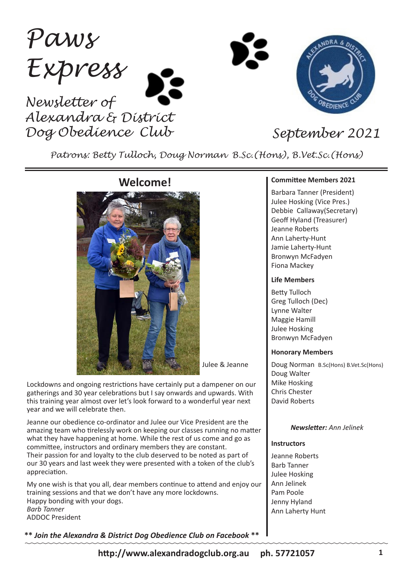*Paws Express Newsletter of Alexandra & District* 

*Dog Obedience Club September 2021*

*Patrons: Betty Tulloch, Doug Norman B.Sc.(Hons), B.Vet.Sc.(Hons)*

## **Welcome!**



Julee & Jeanne

Lockdowns and ongoing restrictions have certainly put a dampener on our gatherings and 30 year celebrations but I say onwards and upwards. With this training year almost over let's look forward to a wonderful year next year and we will celebrate then.

Jeanne our obedience co-ordinator and Julee our Vice President are the amazing team who tirelessly work on keeping our classes running no matter what they have happening at home. While the rest of us come and go as committee, instructors and ordinary members they are constant. Their passion for and loyalty to the club deserved to be noted as part of our 30 years and last week they were presented with a token of the club's appreciation.

My one wish is that you all, dear members continue to attend and enjoy our training sessions and that we don't have any more lockdowns. Happy bonding with your dogs. *Barb Tanner* ADDOC President

**\*\*** *Join the Alexandra & District Dog Obedience Club on Facebook* **\*\***

#### **Committee Members 2021**

Barbara Tanner (President) Julee Hosking (Vice Pres.) Debbie Callaway(Secretary) Geoff Hyland (Treasurer) Jeanne Roberts Ann Laherty-Hunt Jamie Laherty-Hunt Bronwyn McFadyen Fiona Mackey

#### **Life Members**

Betty Tulloch Greg Tulloch (Dec) Lynne Walter Maggie Hamill Julee Hosking Bronwyn McFadyen

#### **Honorary Members**

Doug Norman B.Sc(Hons) B.Vet.Sc(Hons) Doug Walter Mike Hosking Chris Chester David Roberts

#### *Newsletter: Ann Jelinek*

#### **Instructors**

Jeanne Roberts Barb Tanner Julee Hosking Ann Jelinek Pam Poole Jenny Hyland Ann Laherty Hunt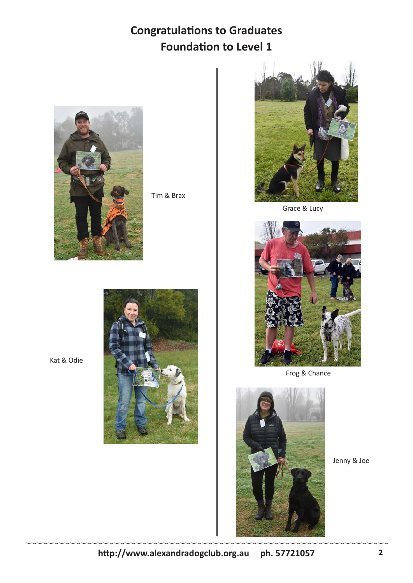# **Congratulations to Graduates Foundation to Level 1**



Tim & Brax



Grace & Lucy



Frog & Chance



Jenny & Joe



Kat & Odie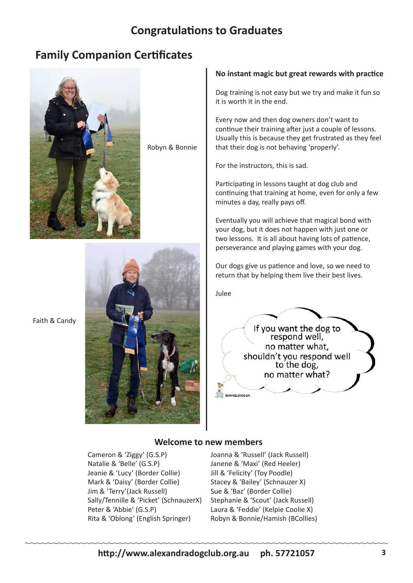# **Congratulations to Graduates**

# **Family Companion Certificates**



Robyn & Bonnie

# Faith & Candy



#### **No instant magic but great rewards with practice**

Dog training is not easy but we try and make it fun so it is worth it in the end.

Every now and then dog owners don't want to continue their training after just a couple of lessons. Usually this is because they get frustrated as they feel that their dog is not behaving 'properly'.

For the instructors, this is sad.

Participating in lessons taught at dog club and continuing that training at home, even for only a few minutes a day, really pays off.

Eventually you will achieve that magical bond with your dog, but it does not happen with just one or two lessons. It is all about having lots of patience, perseverance and playing games with your dog.

Our dogs give us patience and love, so we need to return that by helping them live their best lives.

Julee



#### **Welcome to new members**

Cameron & 'Ziggy' (G.S.P) Natalie & 'Belle' (G.S.P) Jeanie & 'Lucy' (Border Collie) Mark & 'Daisy' (Border Collie) Jim & 'Terry'(Jack Russell) Sally/Tennille & 'Picket' (SchnauzerX) Peter & 'Abbie' (G.S.P) Rita & 'Oblong' (English Springer)

Joanna & 'Russell' (Jack Russell) Janene & 'Maxi' (Red Heeler) Jill & 'Felicity' (Toy Poodle) Stacey & 'Bailey' (Schnauzer X) Sue & 'Baz' (Border Collie) Stephanie & 'Scout' (Jack Russell) Laura & 'Feddie' (Kelpie Coolie X) Robyn & Bonnie/Hamish (BCollies)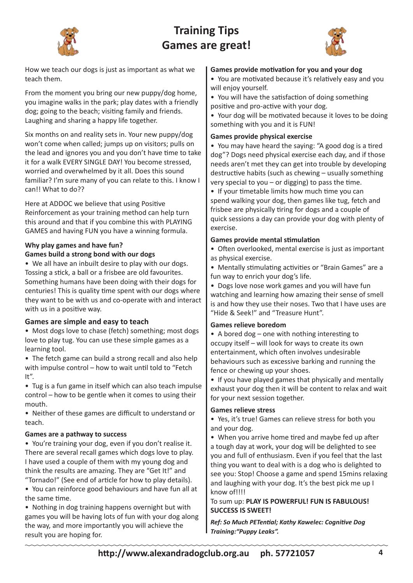

# **Training Tips Games are great!**



How we teach our dogs is just as important as what we teach them.

From the moment you bring our new puppy/dog home, you imagine walks in the park; play dates with a friendly dog; going to the beach; visiting family and friends. Laughing and sharing a happy life together.

Six months on and reality sets in. Your new puppy/dog won't come when called; jumps up on visitors; pulls on the lead and ignores you and you don't have time to take it for a walk EVERY SINGLE DAY! You become stressed, worried and overwhelmed by it all. Does this sound familiar? I'm sure many of you can relate to this. I know I can!! What to do??

Here at ADDOC we believe that using Positive Reinforcement as your training method can help turn this around and that if you combine this with PLAYING GAMES and having FUN you have a winning formula.

## **Why play games and have fun?**

### **Games build a strong bond with our dogs**

• We all have an inbuilt desire to play with our dogs. Tossing a stick, a ball or a frisbee are old favourites. Something humans have been doing with their dogs for centuries! This is quality time spent with our dogs where they want to be with us and co-operate with and interact with us in a positive way.

### **Games are simple and easy to teach**

• Most dogs love to chase (fetch) something; most dogs love to play tug. You can use these simple games as a learning tool.

• The fetch game can build a strong recall and also help with impulse control – how to wait until told to "Fetch It".

• Tug is a fun game in itself which can also teach impulse control – how to be gentle when it comes to using their mouth.

• Neither of these games are difficult to understand or teach.

#### **Games are a pathway to success**

• You're training your dog, even if you don't realise it. There are several recall games which dogs love to play. I have used a couple of them with my young dog and think the results are amazing. They are "Get It!" and "Tornado!" (See end of article for how to play details).

• You can reinforce good behaviours and have fun all at the same time.

• Nothing in dog training happens overnight but with games you will be having lots of fun with your dog along the way, and more importantly you will achieve the result you are hoping for.

#### **Games provide motivation for you and your dog**

• You are motivated because it's relatively easy and you will enjoy yourself.

• You will have the satisfaction of doing something

positive and pro-active with your dog.

• Your dog will be motivated because it loves to be doing something with you and it is FUN!

#### **Games provide physical exercise**

• You may have heard the saying: "A good dog is a tired dog"? Dogs need physical exercise each day, and if those needs aren't met they can get into trouble by developing destructive habits (such as chewing – usually something very special to you  $-$  or digging) to pass the time.

• If your timetable limits how much time you can spend walking your dog, then games like tug, fetch and frisbee are physically tiring for dogs and a couple of quick sessions a day can provide your dog with plenty of exercise.

#### **Games provide mental stimulation**

• Often overlooked, mental exercise is just as important as physical exercise.

• Mentally stimulating activities or "Brain Games" are a fun way to enrich your dog's life.

• Dogs love nose work games and you will have fun watching and learning how amazing their sense of smell is and how they use their noses. Two that I have uses are "Hide & Seek!" and "Treasure Hunt".

#### **Games relieve boredom**

• A bored dog – one with nothing interesting to occupy itself – will look for ways to create its own entertainment, which often involves undesirable behaviours such as excessive barking and running the fence or chewing up your shoes.

• If you have played games that physically and mentally exhaust your dog then it will be content to relax and wait for your next session together.

#### **Games relieve stress**

• Yes, it's true! Games can relieve stress for both you and your dog.

• When you arrive home tired and maybe fed up after

a tough day at work, your dog will be delighted to see you and full of enthusiasm. Even if you feel that the last thing you want to deal with is a dog who is delighted to see you: Stop! Choose a game and spend 15mins relaxing and laughing with your dog. It's the best pick me up I know of!!!!

### To sum up: **PLAY IS POWERFUL! FUN IS FABULOUS! SUCCESS IS SWEET!**

*Ref: So Much PETential; Kathy Kawelec: Cognitive Dog Training:"Puppy Leaks".*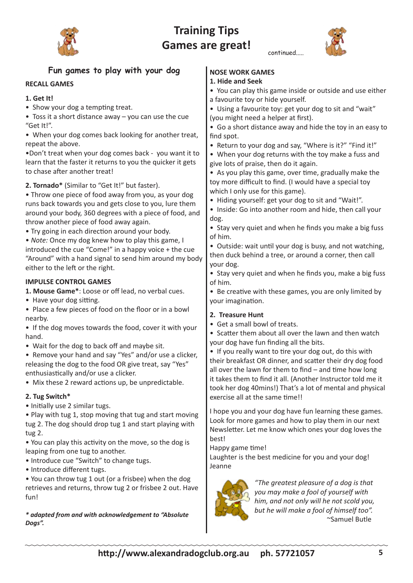

# **Training Tips Games are great!**



|                                                                                                                     | continued                                                                                                            |
|---------------------------------------------------------------------------------------------------------------------|----------------------------------------------------------------------------------------------------------------------|
| Fun games to play with your dog                                                                                     | <b>NOSE WORK GAMES</b>                                                                                               |
| <b>RECALL GAMES</b>                                                                                                 | 1. Hide and Seek                                                                                                     |
|                                                                                                                     | • You can play this game inside or outside and use either                                                            |
| 1. Get It!                                                                                                          | a favourite toy or hide yourself.                                                                                    |
| • Show your dog a tempting treat.<br>• Toss it a short distance away - you can use the cue                          | • Using a favourite toy: get your dog to sit and "wait"                                                              |
| "Get It!".                                                                                                          | (you might need a helper at first).<br>• Go a short distance away and hide the toy in an easy to                     |
| • When your dog comes back looking for another treat,                                                               | find spot.                                                                                                           |
| repeat the above.                                                                                                   | • Return to your dog and say, "Where is it?" "Find it!"                                                              |
| .Don't treat when your dog comes back - you want it to                                                              | • When your dog returns with the toy make a fuss and                                                                 |
| learn that the faster it returns to you the quicker it gets                                                         | give lots of praise, then do it again.                                                                               |
| to chase after another treat!                                                                                       | • As you play this game, over time, gradually make the                                                               |
| 2. Tornado* (Similar to "Get It!" but faster).                                                                      | toy more difficult to find. (I would have a special toy                                                              |
| • Throw one piece of food away from you, as your dog                                                                | which I only use for this game).<br>• Hiding yourself: get your dog to sit and "Wait!".                              |
| runs back towards you and gets close to you, lure them                                                              | . Inside: Go into another room and hide, then call your                                                              |
| around your body, 360 degrees with a piece of food, and<br>throw another piece of food away again.                  | dog.                                                                                                                 |
| • Try going in each direction around your body.                                                                     | • Stay very quiet and when he finds you make a big fuss                                                              |
| . Note: Once my dog knew how to play this game, I                                                                   | of him.                                                                                                              |
| introduced the cue "Come!" in a happy voice + the cue                                                               | • Outside: wait until your dog is busy, and not watching,                                                            |
| "Around" with a hand signal to send him around my body                                                              | then duck behind a tree, or around a corner, then call<br>your dog.                                                  |
| either to the left or the right.                                                                                    | • Stay very quiet and when he finds you, make a big fuss                                                             |
| <b>IMPULSE CONTROL GAMES</b>                                                                                        | of him.                                                                                                              |
| 1. Mouse Game*: Loose or off lead, no verbal cues.                                                                  | • Be creative with these games, you are only limited by                                                              |
| • Have your dog sitting.                                                                                            | your imagination.                                                                                                    |
| • Place a few pieces of food on the floor or in a bowl                                                              | 2. Treasure Hunt                                                                                                     |
| nearby.<br>• If the dog moves towards the food, cover it with your                                                  | • Get a small bowl of treats.                                                                                        |
| hand.                                                                                                               | • Scatter them about all over the lawn and then watch                                                                |
| • Wait for the dog to back off and maybe sit.                                                                       | your dog have fun finding all the bits.                                                                              |
| • Remove your hand and say "Yes" and/or use a clicker,                                                              | • If you really want to tire your dog out, do this with<br>their breakfast OR dinner, and scatter their dry dog food |
| releasing the dog to the food OR give treat, say "Yes"                                                              | all over the lawn for them to find $-$ and time how long                                                             |
| enthusiastically and/or use a clicker.                                                                              | it takes them to find it all. (Another Instructor told me it                                                         |
| • Mix these 2 reward actions up, be unpredictable.                                                                  | took her dog 40mins!) That's a lot of mental and physical                                                            |
| 2. Tug Switch*                                                                                                      | exercise all at the same time!!                                                                                      |
| • Initially use 2 similar tugs.                                                                                     | I hope you and your dog have fun learning these games.                                                               |
| . Play with tug 1, stop moving that tug and start moving<br>tug 2. The dog should drop tug 1 and start playing with | Look for more games and how to play them in our next                                                                 |
| tug 2.                                                                                                              | Newsletter. Let me know which ones your dog loves the                                                                |
| . You can play this activity on the move, so the dog is                                                             | best!                                                                                                                |
| leaping from one tug to another.                                                                                    | Happy game time!<br>Laughter is the best medicine for you and your dog!                                              |
| • Introduce cue "Switch" to change tugs.                                                                            | Jeanne                                                                                                               |
| · Introduce different tugs.                                                                                         |                                                                                                                      |
| . You can throw tug 1 out (or a frisbee) when the dog<br>retrieves and returns, throw tug 2 or frisbee 2 out. Have  | "The greatest pleasure of a dog is that                                                                              |
| fun!                                                                                                                | you may make a fool of yourself with                                                                                 |
|                                                                                                                     | him, and not only will he not scold you,                                                                             |

#### *\* adapted from and with acknowledgement to "Absolute Dogs".*

*but he will make a fool of himself too".*

~Samuel Butle